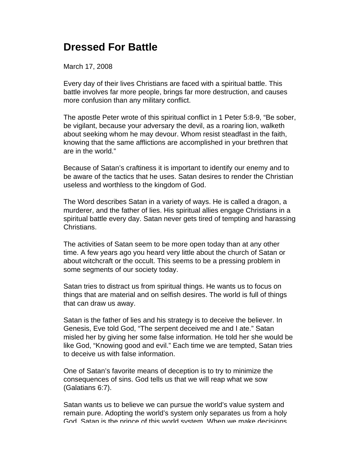## **Dressed For Battle**

March 17, 2008

Every day of their lives Christians are faced with a spiritual battle. This battle involves far more people, brings far more destruction, and causes more confusion than any military conflict.

The apostle Peter wrote of this spiritual conflict in 1 Peter 5:8-9, "Be sober, be vigilant, because your adversary the devil, as a roaring lion, walketh about seeking whom he may devour. Whom resist steadfast in the faith, knowing that the same afflictions are accomplished in your brethren that are in the world."

Because of Satan's craftiness it is important to identify our enemy and to be aware of the tactics that he uses. Satan desires to render the Christian useless and worthless to the kingdom of God.

The Word describes Satan in a variety of ways. He is called a dragon, a murderer, and the father of lies. His spiritual allies engage Christians in a spiritual battle every day. Satan never gets tired of tempting and harassing Christians.

The activities of Satan seem to be more open today than at any other time. A few years ago you heard very little about the church of Satan or about witchcraft or the occult. This seems to be a pressing problem in some segments of our society today.

Satan tries to distract us from spiritual things. He wants us to focus on things that are material and on selfish desires. The world is full of things that can draw us away.

Satan is the father of lies and his strategy is to deceive the believer. In Genesis, Eve told God, "The serpent deceived me and I ate." Satan misled her by giving her some false information. He told her she would be like God, "Knowing good and evil." Each time we are tempted, Satan tries to deceive us with false information.

One of Satan's favorite means of deception is to try to minimize the consequences of sins. God tells us that we will reap what we sow (Galatians 6:7).

Satan wants us to believe we can pursue the world's value system and remain pure. Adopting the world's system only separates us from a holy God. Satan is the prince of this world system. When we make decisions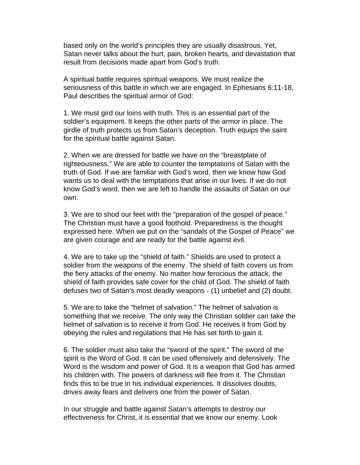based only on the world's principles they are usually disastrous. Yet, Satan never talks about the hurt, pain, broken hearts, and devastation that result from decisions made apart from God's truth.

A spiritual battle requires spiritual weapons. We must realize the seriousness of this battle in which we are engaged. In Ephesians 6:11-18, Paul describes the spiritual armor of God:

1. We must gird our loins with truth. This is an essential part of the soldier's equipment. It keeps the other parts of the armor in place. The girdle of truth protects us from Satan's deception. Truth equips the saint for the spiritual battle against Satan.

2. When we are dressed for battle we have on the "breastplate of righteousness." We are able to counter the temptations of Satan with the truth of God. If we are familiar with God's word, then we know how God wants us to deal with the temptations that arise in our lives. If we do not know God's word, then we are left to handle the assaults of Satan on our own.

3. We are to shod our feet with the "preparation of the gospel of peace." The Christian must have a good foothold. Preparedness is the thought expressed here. When we put on the "sandals of the Gospel of Peace" we are given courage and are ready for the battle against evil.

4. We are to take up the "shield of faith." Shields are used to protect a soldier from the weapons of the enemy. The shield of faith covers us from the fiery attacks of the enemy. No matter how ferocious the attack, the shield of faith provides safe cover for the child of God. The shield of faith defuses two of Satan's most deadly weapons - (1) unbelief and (2) doubt.

5. We are to take the "helmet of salvation." The helmet of salvation is something that we receive. The only way the Christian soldier can take the helmet of salvation is to receive it from God. He receives it from God by obeying the rules and regulations that He has set forth to gain it.

6. The soldier must also take the "sword of the spirit." The sword of the spirit is the Word of God. It can be used offensively and defensively. The Word is the wisdom and power of God. It is a weapon that God has armed his children with. The powers of darkness will flee from it. The Christian finds this to be true in his individual experiences. It dissolves doubts, drives away fears and delivers one from the power of Satan.

In our struggle and battle against Satan's attempts to destroy our effectiveness for Christ, it is essential that we know our enemy. Look